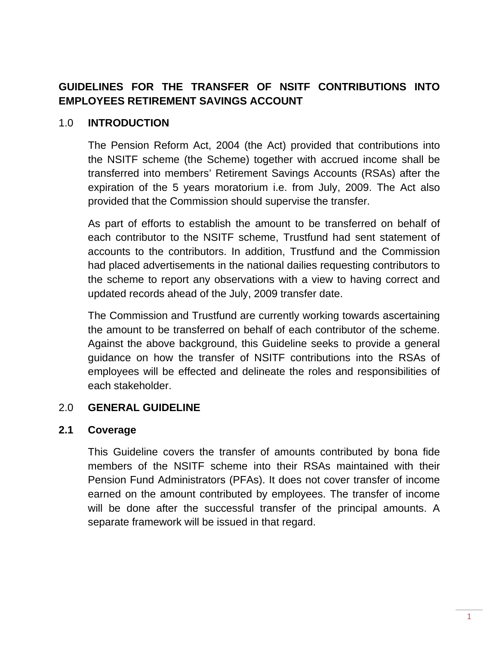# **GUIDELINES FOR THE TRANSFER OF NSITF CONTRIBUTIONS INTO EMPLOYEES RETIREMENT SAVINGS ACCOUNT**

#### 1.0 **INTRODUCTION**

The Pension Reform Act, 2004 (the Act) provided that contributions into the NSITF scheme (the Scheme) together with accrued income shall be transferred into members' Retirement Savings Accounts (RSAs) after the expiration of the 5 years moratorium i.e. from July, 2009. The Act also provided that the Commission should supervise the transfer.

As part of efforts to establish the amount to be transferred on behalf of each contributor to the NSITF scheme, Trustfund had sent statement of accounts to the contributors. In addition, Trustfund and the Commission had placed advertisements in the national dailies requesting contributors to the scheme to report any observations with a view to having correct and updated records ahead of the July, 2009 transfer date.

The Commission and Trustfund are currently working towards ascertaining the amount to be transferred on behalf of each contributor of the scheme. Against the above background, this Guideline seeks to provide a general guidance on how the transfer of NSITF contributions into the RSAs of employees will be effected and delineate the roles and responsibilities of each stakeholder.

#### 2.0 **GENERAL GUIDELINE**

#### **2.1 Coverage**

This Guideline covers the transfer of amounts contributed by bona fide members of the NSITF scheme into their RSAs maintained with their Pension Fund Administrators (PFAs). It does not cover transfer of income earned on the amount contributed by employees. The transfer of income will be done after the successful transfer of the principal amounts. A separate framework will be issued in that regard.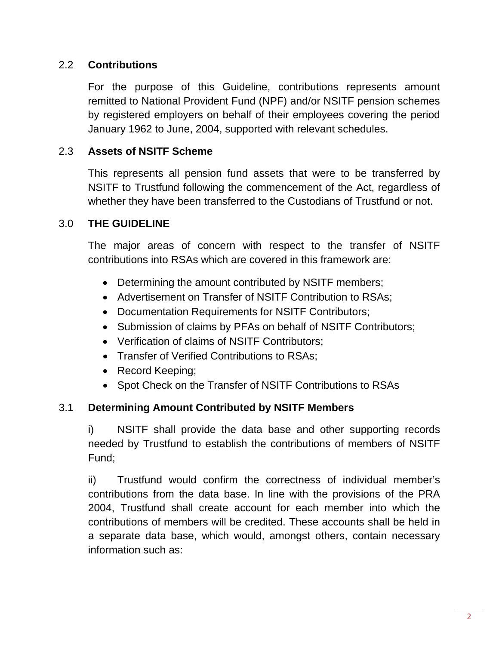### 2.2 **Contributions**

For the purpose of this Guideline, contributions represents amount remitted to National Provident Fund (NPF) and/or NSITF pension schemes by registered employers on behalf of their employees covering the period January 1962 to June, 2004, supported with relevant schedules.

#### 2.3 **Assets of NSITF Scheme**

This represents all pension fund assets that were to be transferred by NSITF to Trustfund following the commencement of the Act, regardless of whether they have been transferred to the Custodians of Trustfund or not.

### 3.0 **THE GUIDELINE**

The major areas of concern with respect to the transfer of NSITF contributions into RSAs which are covered in this framework are:

- Determining the amount contributed by NSITF members;
- Advertisement on Transfer of NSITF Contribution to RSAs;
- Documentation Requirements for NSITF Contributors;
- Submission of claims by PFAs on behalf of NSITF Contributors;
- Verification of claims of NSITF Contributors;
- Transfer of Verified Contributions to RSAs;
- Record Keeping;
- Spot Check on the Transfer of NSITF Contributions to RSAs

### 3.1 **Determining Amount Contributed by NSITF Members**

i) NSITF shall provide the data base and other supporting records needed by Trustfund to establish the contributions of members of NSITF Fund;

ii) Trustfund would confirm the correctness of individual member's contributions from the data base. In line with the provisions of the PRA 2004, Trustfund shall create account for each member into which the contributions of members will be credited. These accounts shall be held in a separate data base, which would, amongst others, contain necessary information such as: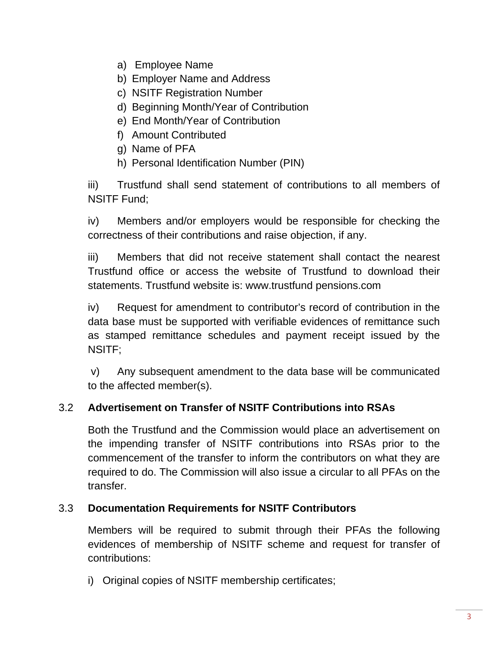- a) Employee Name
- b) Employer Name and Address
- c) NSITF Registration Number
- d) Beginning Month/Year of Contribution
- e) End Month/Year of Contribution
- f) Amount Contributed
- g) Name of PFA
- h) Personal Identification Number (PIN)

iii) Trustfund shall send statement of contributions to all members of NSITF Fund;

iv) Members and/or employers would be responsible for checking the correctness of their contributions and raise objection, if any.

iii) Members that did not receive statement shall contact the nearest Trustfund office or access the website of Trustfund to download their statements. Trustfund website is: www.trustfund pensions.com

iv) Request for amendment to contributor's record of contribution in the data base must be supported with verifiable evidences of remittance such as stamped remittance schedules and payment receipt issued by the NSITF;

v) Any subsequent amendment to the data base will be communicated to the affected member(s).

### 3.2 **Advertisement on Transfer of NSITF Contributions into RSAs**

Both the Trustfund and the Commission would place an advertisement on the impending transfer of NSITF contributions into RSAs prior to the commencement of the transfer to inform the contributors on what they are required to do. The Commission will also issue a circular to all PFAs on the transfer.

### 3.3 **Documentation Requirements for NSITF Contributors**

Members will be required to submit through their PFAs the following evidences of membership of NSITF scheme and request for transfer of contributions:

i) Original copies of NSITF membership certificates;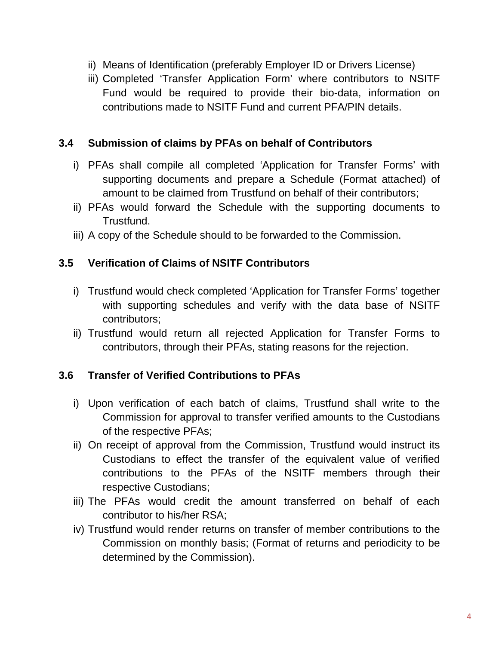- ii) Means of Identification (preferably Employer ID or Drivers License)
- iii) Completed 'Transfer Application Form' where contributors to NSITF Fund would be required to provide their bio-data, information on contributions made to NSITF Fund and current PFA/PIN details.

#### **3.4 Submission of claims by PFAs on behalf of Contributors**

- i) PFAs shall compile all completed 'Application for Transfer Forms' with supporting documents and prepare a Schedule (Format attached) of amount to be claimed from Trustfund on behalf of their contributors;
- ii) PFAs would forward the Schedule with the supporting documents to Trustfund.
- iii) A copy of the Schedule should to be forwarded to the Commission.

### **3.5 Verification of Claims of NSITF Contributors**

- i) Trustfund would check completed 'Application for Transfer Forms' together with supporting schedules and verify with the data base of NSITF contributors;
- ii) Trustfund would return all rejected Application for Transfer Forms to contributors, through their PFAs, stating reasons for the rejection.

#### **3.6 Transfer of Verified Contributions to PFAs**

- i) Upon verification of each batch of claims, Trustfund shall write to the Commission for approval to transfer verified amounts to the Custodians of the respective PFAs;
- ii) On receipt of approval from the Commission, Trustfund would instruct its Custodians to effect the transfer of the equivalent value of verified contributions to the PFAs of the NSITF members through their respective Custodians;
- iii) The PFAs would credit the amount transferred on behalf of each contributor to his/her RSA;
- iv) Trustfund would render returns on transfer of member contributions to the Commission on monthly basis; (Format of returns and periodicity to be determined by the Commission).